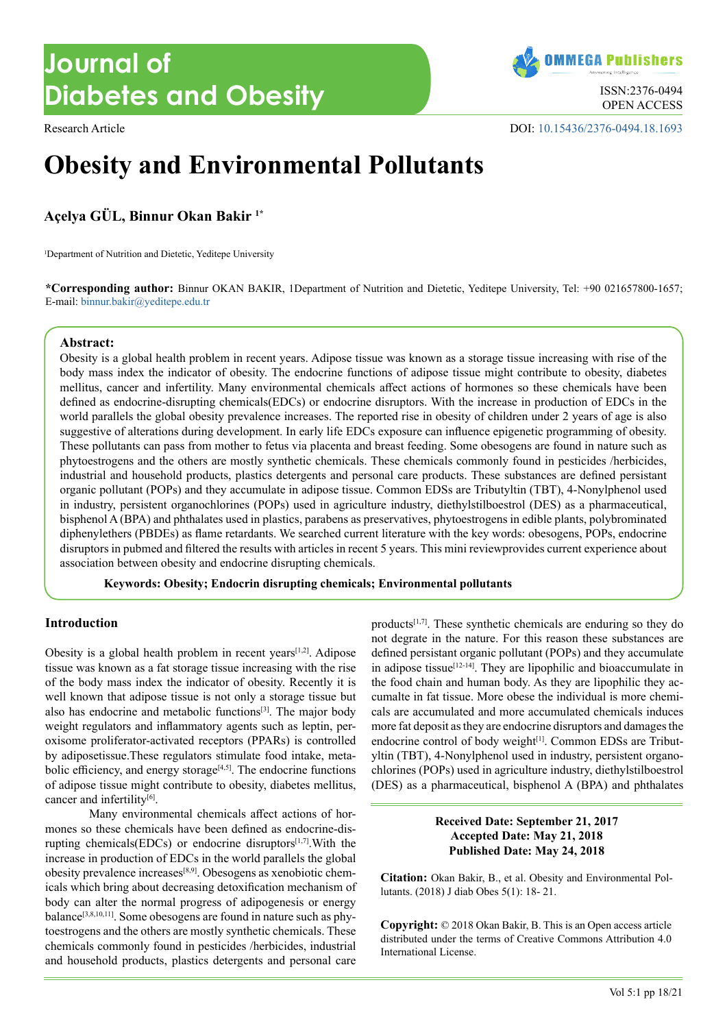**OMMEGA Publishers** OPEN ACCESS

Research Article DOI: [10.15436/2376-0494.18.1](https://doi.org/10.15436/2376-0494.18.1693)693

# **Obesity and Environmental Pollutants**

**Açelya GÜL, Binnur Okan Bakir 1\***

<sup>1</sup>Department of Nutrition and Dietetic, Yeditepe University

**\*Corresponding author:** Binnur OKAN BAKIR, 1Department of Nutrition and Dietetic, Yeditepe University, Tel: +90 021657800-1657; E-mail: binnur.bakir@yeditepe.edu.tr

#### **Abstract:**

Obesity is a global health problem in recent years. Adipose tissue was known as a storage tissue increasing with rise of the body mass index the indicator of obesity. The endocrine functions of adipose tissue might contribute to obesity, diabetes mellitus, cancer and infertility. Many environmental chemicals affect actions of hormones so these chemicals have been defined as endocrine-disrupting chemicals(EDCs) or endocrine disruptors. With the increase in production of EDCs in the world parallels the global obesity prevalence increases. The reported rise in obesity of children under 2 years of age is also suggestive of alterations during development. In early life EDCs exposure can influence epigenetic programming of obesity. These pollutants can pass from mother to fetus via placenta and breast feeding. Some obesogens are found in nature such as phytoestrogens and the others are mostly synthetic chemicals. These chemicals commonly found in pesticides /herbicides, industrial and household products, plastics detergents and personal care products. These substances are defined persistant organic pollutant (POPs) and they accumulate in adipose tissue. Common EDSs are Tributyltin (TBT), 4-Nonylphenol used in industry, persistent organochlorines (POPs) used in agriculture industry, diethylstilboestrol (DES) as a pharmaceutical, bisphenol A (BPA) and phthalates used in plastics, parabens as preservatives, phytoestrogens in edible plants, polybrominated diphenylethers (PBDEs) as flame retardants. We searched current literature with the key words: obesogens, POPs, endocrine disruptors in pubmed and filtered the results with articles in recent 5 years. This mini reviewprovides current experience about association between obesity and endocrine disrupting chemicals.

**Keywords: Obesity; Endocrin disrupting chemicals; Environmental pollutants**

## **Introduction**

Obesity is a global health problem in recent years<sup>[\[1,2\]](#page-2-0)</sup>. Adipose tissue was known as a fat storage tissue increasing with the rise of the body mass index the indicator of obesity. Recently it is well known that adipose tissue is not only a storage tissue but also has endocrine and metabolic functions<sup>[\[3\]](#page-2-1)</sup>. The major body weight regulators and inflammatory agents such as leptin, peroxisome proliferator-activated receptors (PPARs) is controlled by adiposetissue.These regulators stimulate food intake, metabolic efficiency, and energy storage<sup>[4,5]</sup>. The endocrine functions of adipose tissue might contribute to obesity, diabetes mellitus, cancer and infertility[\[6\]](#page-2-3).

Many environmental chemicals affect actions of hormones so these chemicals have been defined as endocrine-disrupting chemicals(EDCs) or endocrine disruptors[\[1,7\].](#page-2-4)With the increase in production of EDCs in the world parallels the global obesity prevalence increases[\[8,9\]](#page-2-5). Obesogens as xenobiotic chemicals which bring about decreasing detoxification mechanism of body can alter the normal progress of adipogenesis or energy balance<sup>[\[3,8,10,11\]](#page-2-5)</sup>. Some obesogens are found in nature such as phytoestrogens and the others are mostly synthetic chemicals. These chemicals commonly found in pesticides /herbicides, industrial and household products, plastics detergents and personal care

products[\[1,7\]](#page-2-0). These synthetic chemicals are enduring so they do not degrate in the nature. For this reason these substances are defined persistant organic pollutant (POPs) and they accumulate in adipose tissue<sup>[\[12-14\]](#page-2-6)</sup>. They are lipophilic and bioaccumulate in the food chain and human body. As they are lipophilic they accumalte in fat tissue. More obese the individual is more chemicals are accumulated and more accumulated chemicals induces more fat deposit as they are endocrine disruptors and damages the endocrine control of body weight<sup>[1]</sup>. Common EDSs are Tributyltin (TBT), 4-Nonylphenol used in industry, persistent organochlorines (POPs) used in agriculture industry, diethylstilboestrol (DES) as a pharmaceutical, bisphenol A (BPA) and phthalates

## **Received Date: September 21, 2017 Accepted Date: May 21, 2018 Published Date: May 24, 2018**

**Citation:** Okan Bakir, B., et al. Obesity and Environmental Pollutants. (2018) J diab Obes 5(1): 18- 21.

**Copyright:** © 2018 Okan Bakir, B. This is an Open access article distributed under the terms of Creative Commons Attribution 4.0 International License.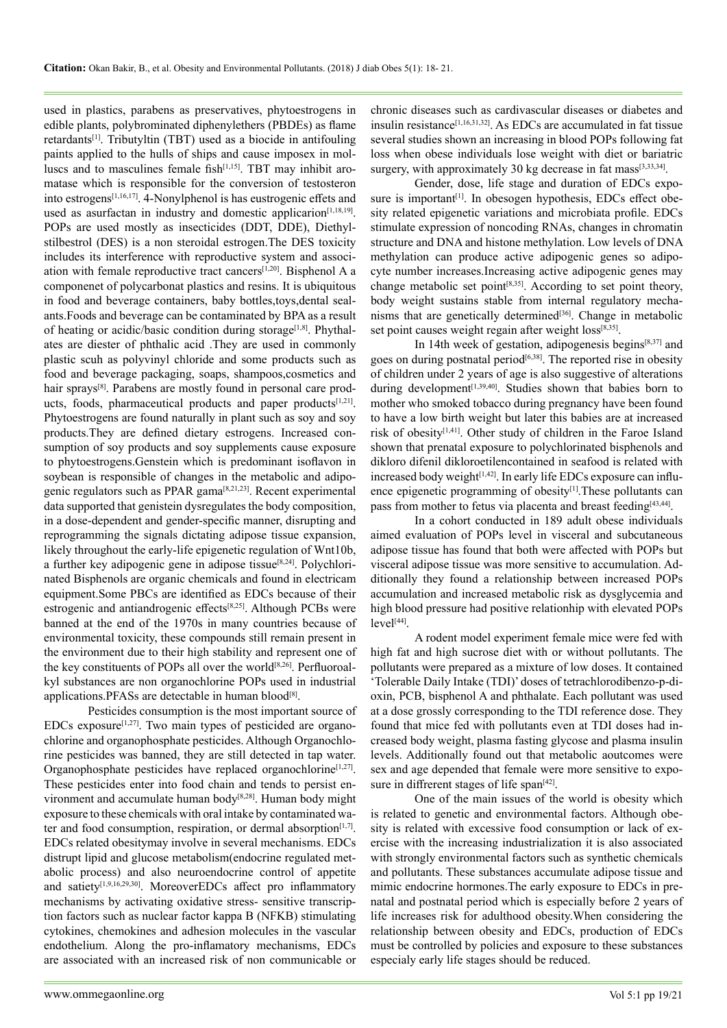used in plastics, parabens as preservatives, phytoestrogens in edible plants, polybrominated diphenylethers (PBDEs) as flame retardant[s\[1\]](#page-2-0). Tributyltin (TBT) used as a biocide in antifouling paints applied to the hulls of ships and cause imposex in molluscs and to masculines female fish<sup>[1,15]</sup>. TBT may inhibit aromatase which is responsible for the conversion of testosteron into estrogens[\[1,16,17\].](#page-2-0) 4-Nonylphenol is has eustrogenic effets and used as asurfactan in industry and domestic applicarion<sup>[\[1,18,19\]](#page-2-0)</sup>. POPs are used mostly as insecticides (DDT, DDE), Diethylstilbestrol (DES) is a non steroidal estrogen.The DES toxicity includes its interference with reproductive system and association with female reproductive tract cancers[\[1,20\].](#page-2-0) Bisphenol A a componenet of polycarbonat plastics and resins. It is ubiquitous in food and beverage containers, baby bottles,toys,dental sealants.Foods and beverage can be contaminated by BPA as a result of heating or acidic/basic condition during storage<sup>[\[1,8\]](#page-2-0)</sup>. Phythalates are diester of phthalic acid .They are used in commonly plastic scuh as polyvinyl chloride and some products such as food and beverage packaging, soaps, shampoos,cosmetics and hair sprays<sup>[8]</sup>. Parabens are mostly found in personal care products, foods, pharmaceutical products and paper products<sup>[1,21]</sup>. Phytoestrogens are found naturally in plant such as soy and soy products.They are defined dietary estrogens. Increased consumption of soy products and soy supplements cause exposure to phytoestrogens.Genstein which is predominant isoflavon in soybean is responsible of changes in the metabolic and adipo-genic regulators such as PPAR gama<sup>[\[8,21,23\]](#page-2-5)</sup>. Recent experimental data supported that genistein dysregulates the body composition, in a dose-dependent and gender-specific manner, disrupting and reprogramming the signals dictating adipose tissue expansion, likely throughout the early-life epigenetic regulation of Wnt10b, a further key adipogenic gene in adipose tissue[\[8,24\]](#page-2-5). Polychlorinated Bisphenols are organic chemicals and found in electricam equipment.Some PBCs are identified as EDCs because of their estrogenic and antiandrogenic effect[s\[8,25\]](#page-2-5). Although PCBs were banned at the end of the 1970s in many countries because of environmental toxicity, these compounds still remain present in the environment due to their high stability and represent one of the key constituents of POPs all over the world<sup>[8,26]</sup>. Perfluoroalkyl substances are non organochlorine POPs used in industrial applications.PFASs are detectable in human blood<sup>[\[8\]](#page-2-5)</sup>.

Pesticides consumption is the most important source of EDCs exposure<sup>[\[1,27\]](#page-2-0)</sup>. Two main types of pesticided are organochlorine and organophosphate pesticides. Although Organochlorine pesticides was banned, they are still detected in tap water. Organophosphate pesticides have replaced organochlorine<sup>[\[1,27\]](#page-2-0)</sup>. These pesticides enter into food chain and tends to persist en-vironment and accumulate human body<sup>[\[8,28\]](#page-2-5)</sup>. Human body might exposure to these chemicals with oral intake by contaminated water and food consumption, respiration, or dermal absorption $[1,7]$ . EDCs related obesitymay involve in several mechanisms. EDCs distrupt lipid and glucose metabolism(endocrine regulated metabolic process) and also neuroendocrine control of appetite and satiety<sup>[1,9,16,29,30]</sup>. MoreoverEDCs affect pro inflammatory mechanisms by activating oxidative stress- sensitive transcription factors such as nuclear factor kappa B (NFKB) stimulating cytokines, chemokines and adhesion molecules in the vascular endothelium. Along the pro-inflamatory mechanisms, EDCs are associated with an increased risk of non communicable or

chronic diseases such as cardivascular diseases or diabetes and insulin resistance<sup>[\[1,16,31,32\]](#page-2-0)</sup>. As EDCs are accumulated in fat tissue several studies shown an increasing in blood POPs following fat loss when obese individuals lose weight with diet or bariatric surgery, with approximately 30 kg decrease in fat mass<sup>[\[3,33,34\]](#page-2-1)</sup>.

Gender, dose, life stage and duration of EDCs exposure is important<sup>[1]</sup>. In obesogen hypothesis, EDCs effect obesity related epigenetic variations and microbiata profile. EDCs stimulate expression of noncoding RNAs, changes in chromatin structure and DNA and histone methylation. Low levels of DNA methylation can produce active adipogenic genes so adipocyte number increases.Increasing active adipogenic genes may change metabolic set point $[8,35]$ . According to set point theory, body weight sustains stable from internal regulatory mechanisms that are genetically determined<sup>[36]</sup>. Change in metabolic set point causes weight regain after weight loss<sup>[\[8,35\]](#page-2-5)</sup>.

In 14th week of gestation, adipogenesis begins $[8,37]$  and goes on during postnatal period<sup> $[6,38]$ </sup>. The reported rise in obesity of children under 2 years of age is also suggestive of alterations during development<sup>[\[1,39,40\]](#page-2-0)</sup>. Studies shown that babies born to mother who smoked tobacco during pregnancy have been found to have a low birth weight but later this babies are at increased risk of obesity<sup>[\[1,41\]](#page-2-0)</sup>. Other study of children in the Faroe Island shown that prenatal exposure to polychlorinated bisphenols and dikloro difenil dikloroetilencontained in seafood is related with increased body weight $[1,42]$ . In early life EDCs exposure can influence epigenetic programming of obesity<sup>[1]</sup>. These pollutants can pass from mother to fetus via placenta and breast feeding<sup>[\[43,44\]](#page-3-1)</sup>.

In a cohort conducted in 189 adult obese individuals aimed evaluation of POPs level in visceral and subcutaneous adipose tissue has found that both were affected with POPs but visceral adipose tissue was more sensitive to accumulation. Additionally they found a relationship between increased POPs accumulation and increased metabolic risk as dysglycemia and high blood pressure had positive relationhip with elevated POPs  $level<sup>[44]</sup>$  $level<sup>[44]</sup>$  $level<sup>[44]</sup>$ .

A rodent model experiment female mice were fed with high fat and high sucrose diet with or without pollutants. The pollutants were prepared as a mixture of low doses. It contained 'Tolerable Daily Intake (TDI)' doses of tetrachlorodibenzo-p-dioxin, PCB, bisphenol A and phthalate. Each pollutant was used at a dose grossly corresponding to the TDI reference dose. They found that mice fed with pollutants even at TDI doses had increased body weight, plasma fasting glycose and plasma insulin levels. Additionally found out that metabolic aoutcomes were sex and age depended that female were more sensitive to exposure in diffrerent stages of life span $[42]$ .

One of the main issues of the world is obesity which is related to genetic and environmental factors. Although obesity is related with excessive food consumption or lack of exercise with the increasing industrialization it is also associated with strongly environmental factors such as synthetic chemicals and pollutants. These substances accumulate adipose tissue and mimic endocrine hormones.The early exposure to EDCs in prenatal and postnatal period which is especially before 2 years of life increases risk for adulthood obesity.When considering the relationship between obesity and EDCs, production of EDCs must be controlled by policies and exposure to these substances especialy early life stages should be reduced.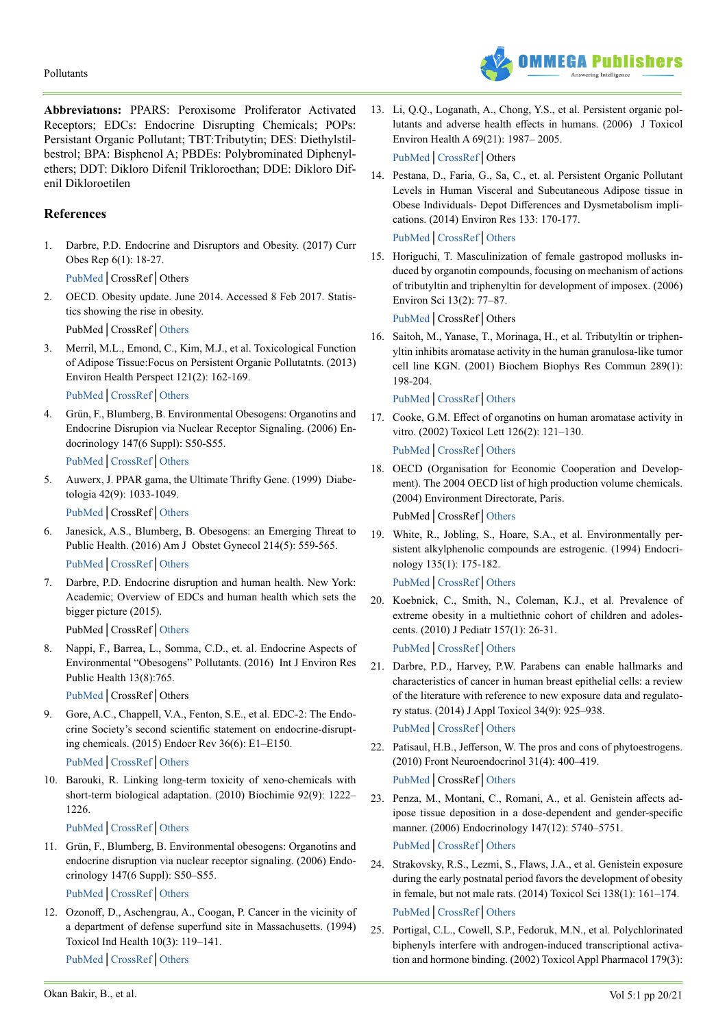

**Abbreviatıons:** PPARS: Peroxisome Proliferator Activated Receptors; EDCs: Endocrine Disrupting Chemicals; POPs: Persistant Organic Pollutant; TBT:Tributytin; DES: Diethylstilbestrol; BPA: Bisphenol A; PBDEs: Polybrominated Diphenylethers; DDT: Dikloro Difenil Trikloroethan; DDE: Dikloro Difenil Dikloroetilen

# **References**

1. Darbre, P.D. Endocrine and Disruptors and Obesity. (2017) Curr Obes Rep 6(1): 18-27.

<span id="page-2-0"></span>[PubMed│](https://www.ncbi.nlm.nih.gov/pmc/articles/PMC5359373/)CrossRef│Others

2. OECD. Obesity update. June 2014. Accessed 8 Feb 2017. Statistics showing the rise in obesity. PubMed│CrossRef│[Others](http://www.oecd.org/health/obesity-update.htm)

<span id="page-2-1"></span>3. Merril, M.L., Emond, C., Kim, M.J., et al. Toxicological Function of Adipose Tissue:Focus on Persistent Organic Pollutatnts. (2013) Environ Health Perspect 121(2): 162-169.

<span id="page-2-2"></span>[PubMed│](https://www.ncbi.nlm.nih.gov/pubmed/23221922)[CrossRef](https://doi.org/10.1289/ehp.1205485)│[Others](https://ehp.niehs.nih.gov/1205485/)

4. Grün, F., Blumberg, B. Environmental Obesogens: Organotins and Endocrine Disrupion via Nuclear Receptor Signaling. (2006) Endocrinology 147(6 Suppl): S50-S55.

[PubMed│](https://www.ncbi.nlm.nih.gov/pubmed/16690801)[CrossRef](https://doi.org/10.1210/en.2005-1129)│[Others](https://academic.oup.com/endo/article/147/6/s50/2878376)

5. Auwerx, J. PPAR gama, the Ultimate Thrifty Gene. (1999) Diabetologia 42(9): 1033-1049.

<span id="page-2-3"></span>[PubMed│](https://www.ncbi.nlm.nih.gov/pubmed/10447513)CrossRef│[Others](https://link.springer.com/content/pdf/10.1007/s001250051268.pdf)

- 6. Janesick, A.S., Blumberg, B. Obesogens: an Emerging Threat to Public Health. (2016) Am J Obstet Gynecol 214(5): 559-565. [PubMed│](https://www.ncbi.nlm.nih.gov/pubmed/26829510)[CrossRef](https://doi.org/10.1016/j.ajog.2016.01.182)│[Others](https://www.ajog.org/article/S0002-9378(16)00232-5/fulltext)
- <span id="page-2-4"></span>7. Darbre, P.D. Endocrine disruption and human health. New York: Academic; Overview of EDCs and human health which sets the bigger picture (2015).

<span id="page-2-5"></span>PubMed│CrossRef│[Others](https://www.elsevier.com/books/endocrine-disruption-and-human-health/darbre/978-0-12-801139-3)

8. Nappi, F., Barrea, L., Somma, C.D., et. al. Endocrine Aspects of Environmental "Obesogens" Pollutants. (2016) Int J Environ Res Public Health 13(8):765.

[PubMed│](https://www.ncbi.nlm.nih.gov/pmc/articles/PMC4997451/)CrossRef│Others

9. Gore, A.C., Chappell, V.A., Fenton, S.E., et al. EDC-2: The Endocrine Society's second scientific statement on endocrine-disrupting chemicals. (2015) Endocr Rev 36(6): E1–E150.

[PubMed│](https://www.ncbi.nlm.nih.gov/pubmed/26544531)[CrossRef](https://doi.org/10.1210/er.2015-1010)│[Others](https://academic.oup.com/edrv/article/36/6/E1/2354691)

10. Barouki, R. Linking long-term toxicity of xeno-chemicals with short-term biological adaptation. (2010) Biochimie 92(9): 1222– 1226.

[PubMed│](https://www.ncbi.nlm.nih.gov/pubmed/20188785)[CrossRef](https://doi.org/10.1016/j.biochi.2010.02.026)│[Others](https://www.sciencedirect.com/science/article/pii/S0300908410000878?via%3Dihub)

11. Grün, F., Blumberg, B. Environmental obesogens: Organotins and endocrine disruption via nuclear receptor signaling. (2006) Endocrinology 147(6 Suppl): S50–S55.

<span id="page-2-6"></span>[PubMed│](https://www.ncbi.nlm.nih.gov/pubmed/16690801)[CrossRef](https://doi.org/10.1210/en.2005-1129)│[Others](https://academic.oup.com/endo/article/147/6/s50/2878376)

12. Ozonoff, D., Aschengrau, A., Coogan, P. Cancer in the vicinity of a department of defense superfund site in Massachusetts. (1994) Toxicol Ind Health 10(3): 119–141.

[PubMed│](https://www.ncbi.nlm.nih.gov/pubmed/7855862)[CrossRef](https://doi.org/10.1177/074823379401000302)│[Others](http://journals.sagepub.com/doi/abs/10.1177/074823379401000302?url_ver=Z39.88-2003&rfr_id=ori:rid:crossref.org&rfr_dat=cr_pub%3dpubmed)

13. Li, Q.Q., Loganath, A., Chong, Y.S., et al. Persistent organic pollutants and adverse health effects in humans. (2006) J Toxicol Environ Health A 69(21): 1987– 2005.

[PubMed](https://www.ncbi.nlm.nih.gov/pubmed/16982537)│[CrossRef](https://doi.org/10.1080/15287390600751447)│Others

14. Pestana, D., Faria, G., Sa, C., et. al. Persistent Organic Pollutant Levels in Human Visceral and Subcutaneous Adipose tissue in Obese Individuals- Depot Differences and Dysmetabolism implications. (2014) Environ Res 133: 170-177.

[PubMed](https://www.ncbi.nlm.nih.gov/pubmed/24949816)│[CrossRef](https://doi.org/10.1016/j.envres.2014.05.026)│[Others](https://www.sciencedirect.com/science/article/pii/S001393511400187X)

15. Horiguchi, T. Masculinization of female gastropod mollusks induced by organotin compounds, focusing on mechanism of actions of tributyltin and triphenyltin for development of imposex. (2006) Environ Sci 13(2): 77–87.

[PubMed](https://www.ncbi.nlm.nih.gov/pubmed/16788559)│CrossRef│Others

16. Saitoh, M., Yanase, T., Morinaga, H., et al. Tributyltin or triphenyltin inhibits aromatase activity in the human granulosa-like tumor cell line KGN. (2001) Biochem Biophys Res Commun 289(1): 198-204.

[PubMed](https://www.ncbi.nlm.nih.gov/pubmed/11708799)│[CrossRef](https://doi.org/10.1006/bbrc.2001.5952)│[Others](https://www.sciencedirect.com/science/article/pii/S0006291X01959522?via%3Dihub)

- 17. Cooke, G.M. Effect of organotins on human aromatase activity in vitro. (2002) Toxicol Lett 126(2): 121–130. [PubMed](https://www.ncbi.nlm.nih.gov/pubmed/11751016)│[CrossRef](https://doi.org/10.1016/S0378-4274(01)00451-9)│[Others](https://www.sciencedirect.com/science/article/pii/S0378427401004519)
- 18. OECD (Organisation for Economic Cooperation and Development). The 2004 OECD list of high production volume chemicals. (2004) Environment Directorate, Paris. PubMed│CrossRef│[Others](http://www.oecd.org/chemicalsafety/risk-assessment/33883530.pdf)
- 19. White, R., Jobling, S., Hoare, S.A., et al. Environmentally persistent alkylphenolic compounds are estrogenic. (1994) Endocrinology 135(1): 175-182.

[PubMed](https://www.ncbi.nlm.nih.gov/pubmed/8013351)│[CrossRef](https://doi.org/10.1210/endo.135.1.8013351)│[Others](https://academic.oup.com/endo/article-abstract/135/1/175/3035834?redirectedFrom=fulltext)

20. Koebnick, C., Smith, N., Coleman, K.J., et al. Prevalence of extreme obesity in a multiethnic cohort of children and adolescents. (2010) J Pediatr 157(1): 26-31.

[PubMed](https://www.ncbi.nlm.nih.gov/pubmed/20303506)│[CrossRef](https://doi.org/10.1111/j.2047-6310.2013.00154.x)│[Others](https://onlinelibrary.wiley.com/doi/pdf/10.1111/j.2047-6310.2013.00154.x)

21. Darbre, P.D., Harvey, P.W. Parabens can enable hallmarks and characteristics of cancer in human breast epithelial cells: a review of the literature with reference to new exposure data and regulatory status. (2014) J Appl Toxicol 34(9): 925–938.

[PubMed](https://www.ncbi.nlm.nih.gov/pubmed/25047802)│[CrossRef](https://doi.org/10.1002/jat.3027)│[Others](https://onlinelibrary.wiley.com/doi/abs/10.1002/jat.3027)

- 22. Patisaul, H.B., Jefferson, W. The pros and cons of phytoestrogens. (2010) Front Neuroendocrinol 31(4): 400–419. [PubMed](https://www.ncbi.nlm.nih.gov/pmc/articles/PMC3074428/)│CrossRef│[Others](https://www.pubfacts.com/detail/20347861/The-pros-and-cons-of-phytoestrogens)
- 23. Penza, M., Montani, C., Romani, A., et al. Genistein affects adipose tissue deposition in a dose-dependent and gender-specific manner. (2006) Endocrinology 147(12): 5740–5751.

[PubMed](https://www.ncbi.nlm.nih.gov/pubmed/16959845)│[CrossRef](https://doi.org/10.1210/en.2006-0365)│[Others](https://academic.oup.com/endo/article/147/12/5740/2500809)

- 24. Strakovsky, R.S., Lezmi, S., Flaws, J.A., et al. Genistein exposure during the early postnatal period favors the development of obesity in female, but not male rats. (2014) Toxicol Sci 138(1): 161–174. [PubMed](https://www.ncbi.nlm.nih.gov/pubmed/24361872)│[CrossRef](https://doi.org/10.1093/toxsci/kft331)│[Others](https://academic.oup.com/toxsci/article/138/1/161/1673080)
- 25. Portigal, C.L., Cowell, S.P., Fedoruk, M.N., et al. Polychlorinated biphenyls interfere with androgen-induced transcriptional activation and hormone binding. (2002) Toxicol Appl Pharmacol 179(3):